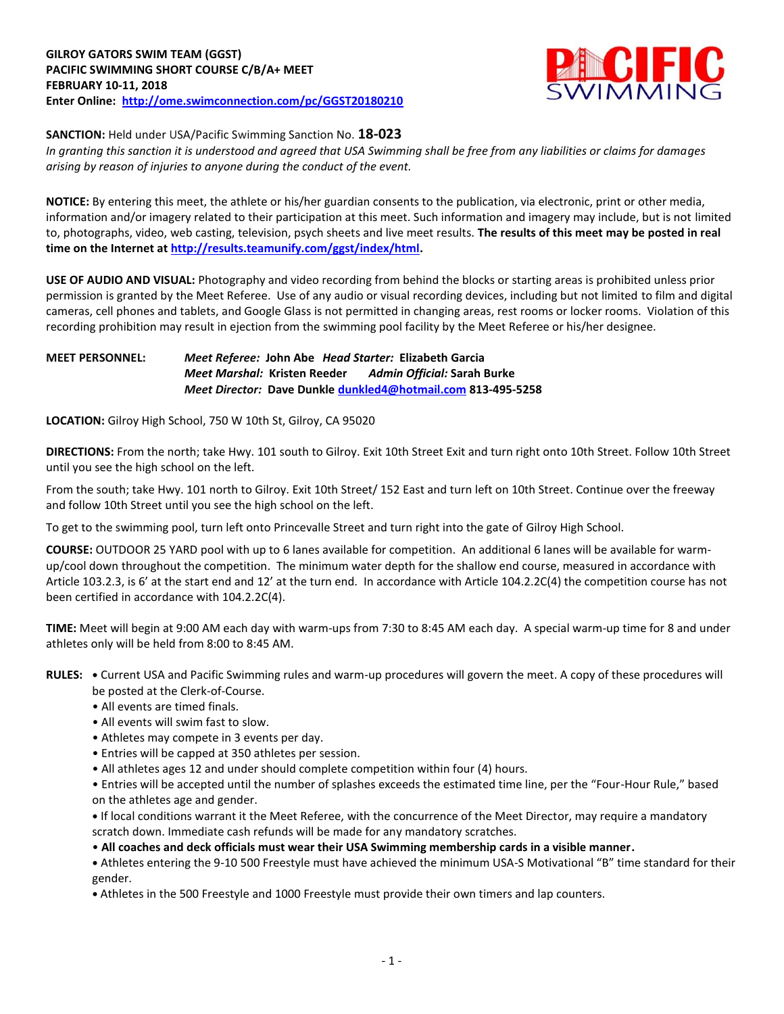

**SANCTION:** Held under USA/Pacific Swimming Sanction No. **18-023**

*In granting this sanction it is understood and agreed that USA Swimming shall be free from any liabilities or claims for damages arising by reason of injuries to anyone during the conduct of the event.*

**NOTICE:** By entering this meet, the athlete or his/her guardian consents to the publication, via electronic, print or other media, information and/or imagery related to their participation at this meet. Such information and imagery may include, but is not limited to, photographs, video, web casting, television, psych sheets and live meet results. **The results of this meet may be posted in real time on the Internet a[t http://results.teamunify.com/ggst/index/html.](http://results.teamunify.com/ggst/index/html)**

**USE OF AUDIO AND VISUAL:** Photography and video recording from behind the blocks or starting areas is prohibited unless prior permission is granted by the Meet Referee. Use of any audio or visual recording devices, including but not limited to film and digital cameras, cell phones and tablets, and Google Glass is not permitted in changing areas, rest rooms or locker rooms. Violation of this recording prohibition may result in ejection from the swimming pool facility by the Meet Referee or his/her designee.

## **MEET PERSONNEL:** *Meet Referee:* **John Abe** *Head Starter:* **Elizabeth Garcia** *Meet Marshal:* **Kristen Reeder** *Admin Official:* **Sarah Burke** *Meet Director:* **Dave Dunkle [dunkled4@hotmail.com](mailto:dunkled4@hotmail.com) 813-495-5258**

**LOCATION:** Gilroy High School, 750 W 10th St, Gilroy, CA 95020

**DIRECTIONS:** From the north; take Hwy. 101 south to Gilroy. Exit 10th Street Exit and turn right onto 10th Street. Follow 10th Street until you see the high school on the left.

From the south; take Hwy. 101 north to Gilroy. Exit 10th Street/ 152 East and turn left on 10th Street. Continue over the freeway and follow 10th Street until you see the high school on the left.

To get to the swimming pool, turn left onto Princevalle Street and turn right into the gate of Gilroy High School.

**COURSE:** OUTDOOR 25 YARD pool with up to 6 lanes available for competition. An additional 6 lanes will be available for warmup/cool down throughout the competition. The minimum water depth for the shallow end course, measured in accordance with Article 103.2.3, is 6' at the start end and 12' at the turn end. In accordance with Article 104.2.2C(4) the competition course has not been certified in accordance with 104.2.2C(4).

**TIME:** Meet will begin at 9:00 AM each day with warm-ups from 7:30 to 8:45 AM each day. A special warm-up time for 8 and under athletes only will be held from 8:00 to 8:45 AM.

**RULES: •** Current USA and Pacific Swimming rules and warm-up procedures will govern the meet. A copy of these procedures will be posted at the Clerk-of-Course.

- All events are timed finals.
- All events will swim fast to slow.
- Athletes may compete in 3 events per day.
- Entries will be capped at 350 athletes per session.
- All athletes ages 12 and under should complete competition within four (4) hours.

• Entries will be accepted until the number of splashes exceeds the estimated time line, per the "Four-Hour Rule," based on the athletes age and gender.

**•** If local conditions warrant it the Meet Referee, with the concurrence of the Meet Director, may require a mandatory scratch down. Immediate cash refunds will be made for any mandatory scratches.

• **All coaches and deck officials must wear their USA Swimming membership cards in a visible manner.**

**•** Athletes entering the 9-10 500 Freestyle must have achieved the minimum USA-S Motivational "B" time standard for their gender.

**•** Athletes in the 500 Freestyle and 1000 Freestyle must provide their own timers and lap counters.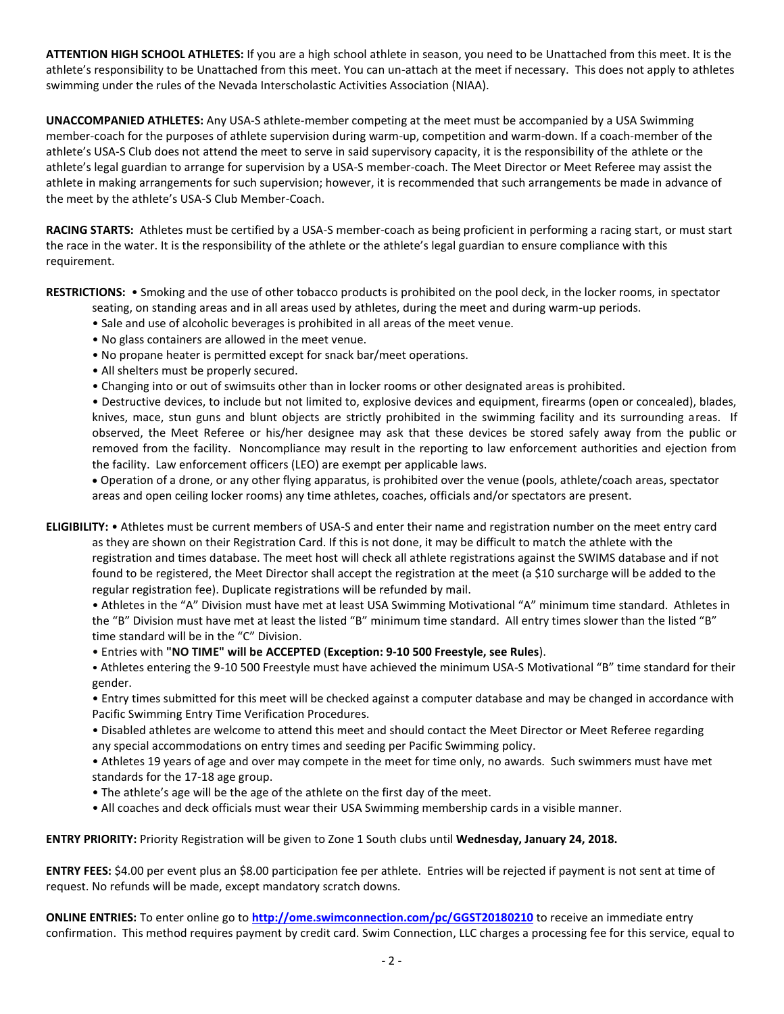**ATTENTION HIGH SCHOOL ATHLETES:** If you are a high school athlete in season, you need to be Unattached from this meet. It is the athlete's responsibility to be Unattached from this meet. You can un-attach at the meet if necessary. This does not apply to athletes swimming under the rules of the Nevada Interscholastic Activities Association (NIAA).

**UNACCOMPANIED ATHLETES:** Any USA-S athlete-member competing at the meet must be accompanied by a USA Swimming member-coach for the purposes of athlete supervision during warm-up, competition and warm-down. If a coach-member of the athlete's USA-S Club does not attend the meet to serve in said supervisory capacity, it is the responsibility of the athlete or the athlete's legal guardian to arrange for supervision by a USA-S member-coach. The Meet Director or Meet Referee may assist the athlete in making arrangements for such supervision; however, it is recommended that such arrangements be made in advance of the meet by the athlete's USA-S Club Member-Coach.

**RACING STARTS:** Athletes must be certified by a USA-S member-coach as being proficient in performing a racing start, or must start the race in the water. It is the responsibility of the athlete or the athlete's legal guardian to ensure compliance with this requirement.

**RESTRICTIONS:** • Smoking and the use of other tobacco products is prohibited on the pool deck, in the locker rooms, in spectator

- seating, on standing areas and in all areas used by athletes, during the meet and during warm-up periods.
- Sale and use of alcoholic beverages is prohibited in all areas of the meet venue.
- No glass containers are allowed in the meet venue.
- No propane heater is permitted except for snack bar/meet operations.
- All shelters must be properly secured.
- Changing into or out of swimsuits other than in locker rooms or other designated areas is prohibited.

• Destructive devices, to include but not limited to, explosive devices and equipment, firearms (open or concealed), blades, knives, mace, stun guns and blunt objects are strictly prohibited in the swimming facility and its surrounding areas. If observed, the Meet Referee or his/her designee may ask that these devices be stored safely away from the public or removed from the facility. Noncompliance may result in the reporting to law enforcement authorities and ejection from the facility. Law enforcement officers (LEO) are exempt per applicable laws.

 Operation of a drone, or any other flying apparatus, is prohibited over the venue (pools, athlete/coach areas, spectator areas and open ceiling locker rooms) any time athletes, coaches, officials and/or spectators are present.

**ELIGIBILITY:** • Athletes must be current members of USA-S and enter their name and registration number on the meet entry card

as they are shown on their Registration Card. If this is not done, it may be difficult to match the athlete with the registration and times database. The meet host will check all athlete registrations against the SWIMS database and if not found to be registered, the Meet Director shall accept the registration at the meet (a \$10 surcharge will be added to the regular registration fee). Duplicate registrations will be refunded by mail.

• Athletes in the "A" Division must have met at least USA Swimming Motivational "A" minimum time standard. Athletes in the "B" Division must have met at least the listed "B" minimum time standard. All entry times slower than the listed "B" time standard will be in the "C" Division.

• Entries with **"NO TIME" will be ACCEPTED** (**Exception: 9-10 500 Freestyle, see Rules**).

• Athletes entering the 9-10 500 Freestyle must have achieved the minimum USA-S Motivational "B" time standard for their gender.

• Entry times submitted for this meet will be checked against a computer database and may be changed in accordance with Pacific Swimming Entry Time Verification Procedures.

• Disabled athletes are welcome to attend this meet and should contact the Meet Director or Meet Referee regarding any special accommodations on entry times and seeding per Pacific Swimming policy.

• Athletes 19 years of age and over may compete in the meet for time only, no awards. Such swimmers must have met standards for the 17-18 age group.

- The athlete's age will be the age of the athlete on the first day of the meet.
- All coaches and deck officials must wear their USA Swimming membership cards in a visible manner.

**ENTRY PRIORITY:** Priority Registration will be given to Zone 1 South clubs until **Wednesday, January 24, 2018.**

**ENTRY FEES:** \$4.00 per event plus an \$8.00 participation fee per athlete. Entries will be rejected if payment is not sent at time of request. No refunds will be made, except mandatory scratch downs.

**ONLINE ENTRIES:** To enter online go to **<http://ome.swimconnection.com/pc/GGST20180210>** to receive an immediate entry confirmation. This method requires payment by credit card. Swim Connection, LLC charges a processing fee for this service, equal to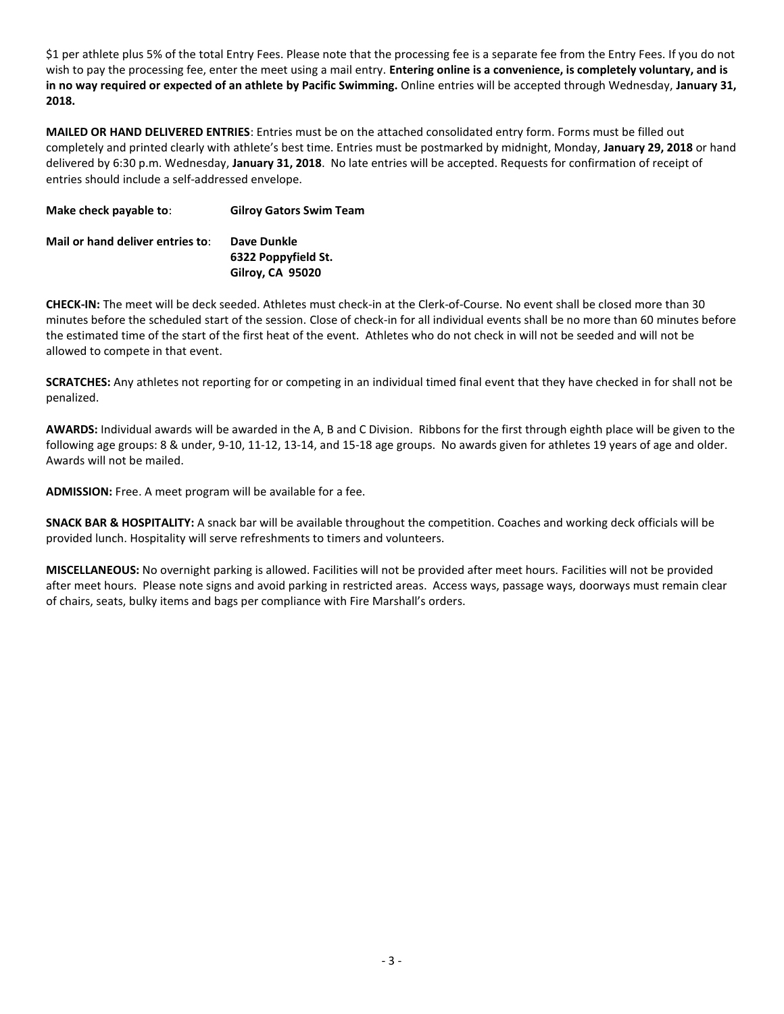\$1 per athlete plus 5% of the total Entry Fees. Please note that the processing fee is a separate fee from the Entry Fees. If you do not wish to pay the processing fee, enter the meet using a mail entry. **Entering online is a convenience, is completely voluntary, and is in no way required or expected of an athlete by Pacific Swimming.** Online entries will be accepted through Wednesday, **January 31, 2018.**

**MAILED OR HAND DELIVERED ENTRIES**: Entries must be on the attached consolidated entry form. Forms must be filled out completely and printed clearly with athlete's best time. Entries must be postmarked by midnight, Monday, **January 29, 2018** or hand delivered by 6:30 p.m. Wednesday, **January 31, 2018**. No late entries will be accepted. Requests for confirmation of receipt of entries should include a self-addressed envelope.

| Make check payable to:           | <b>Gilroy Gators Swim Team</b>     |
|----------------------------------|------------------------------------|
| Mail or hand deliver entries to: | Dave Dunkle<br>6322 Poppyfield St. |
|                                  | <b>Gilroy, CA 95020</b>            |

**CHECK-IN:** The meet will be deck seeded. Athletes must check-in at the Clerk-of-Course. No event shall be closed more than 30 minutes before the scheduled start of the session. Close of check-in for all individual events shall be no more than 60 minutes before the estimated time of the start of the first heat of the event. Athletes who do not check in will not be seeded and will not be allowed to compete in that event.

**SCRATCHES:** Any athletes not reporting for or competing in an individual timed final event that they have checked in for shall not be penalized.

**AWARDS:** Individual awards will be awarded in the A, B and C Division. Ribbons for the first through eighth place will be given to the following age groups: 8 & under, 9-10, 11-12, 13-14, and 15-18 age groups. No awards given for athletes 19 years of age and older. Awards will not be mailed.

**ADMISSION:** Free. A meet program will be available for a fee.

**SNACK BAR & HOSPITALITY:** A snack bar will be available throughout the competition. Coaches and working deck officials will be provided lunch. Hospitality will serve refreshments to timers and volunteers.

**MISCELLANEOUS:** No overnight parking is allowed. Facilities will not be provided after meet hours. Facilities will not be provided after meet hours. Please note signs and avoid parking in restricted areas. Access ways, passage ways, doorways must remain clear of chairs, seats, bulky items and bags per compliance with Fire Marshall's orders.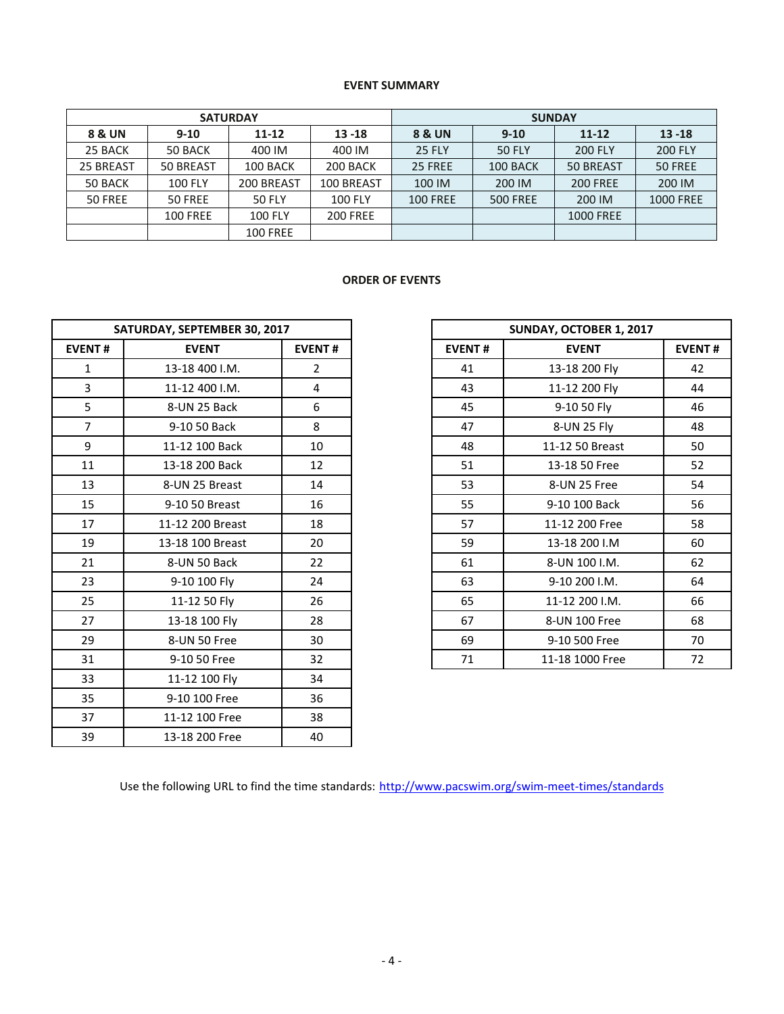## **EVENT SUMMARY**

| <b>SATURDAY</b> |                 |                 |                 | <b>SUNDAY</b>     |                 |                  |                  |  |  |
|-----------------|-----------------|-----------------|-----------------|-------------------|-----------------|------------------|------------------|--|--|
| 8 & UN          | $9 - 10$        | $11 - 12$       | $13 - 18$       | <b>8 &amp; UN</b> | $9 - 10$        | $11 - 12$        | $13 - 18$        |  |  |
| 25 BACK         | 50 BACK         | 400 IM          | 400 IM          | <b>25 FLY</b>     | <b>50 FLY</b>   | <b>200 FLY</b>   | <b>200 FLY</b>   |  |  |
| 25 BREAST       | 50 BREAST       | 100 BACK        | 200 BACK        | 25 FREE           | 100 BACK        | 50 BREAST        | 50 FREE          |  |  |
| 50 BACK         | <b>100 FLY</b>  | 200 BREAST      | 100 BREAST      | 100 IM            | 200 IM          | <b>200 FREE</b>  | 200 IM           |  |  |
| 50 FREE         | 50 FREE         | <b>50 FLY</b>   | <b>100 FLY</b>  | <b>100 FREE</b>   | <b>500 FREE</b> | 200 IM           | <b>1000 FREE</b> |  |  |
|                 | <b>100 FREE</b> | <b>100 FLY</b>  | <b>200 FREE</b> |                   |                 | <b>1000 FREE</b> |                  |  |  |
|                 |                 | <b>100 FREE</b> |                 |                   |                 |                  |                  |  |  |

## **ORDER OF EVENTS**

| SATURDAY, SEPTEMBER 30, 2017 |                  |                |               | SUNDAY, OCTOBER 1, 2017 |             |
|------------------------------|------------------|----------------|---------------|-------------------------|-------------|
| <b>EVENT#</b>                | <b>EVENT</b>     | <b>EVENT#</b>  | <b>EVENT#</b> | <b>EVENT</b>            | <b>EVEN</b> |
| $\mathbf{1}$                 | 13-18 400 I.M.   | $\overline{2}$ | 41            | 13-18 200 Fly           | 42          |
| $\overline{3}$               | 11-12 400 I.M.   | 4              | 43            | 11-12 200 Fly           | 44          |
| 5                            | 8-UN 25 Back     | 6              | 45            | 9-10 50 Fly             | 46          |
| $\overline{7}$               | 9-10 50 Back     | 8              | 47            | 8-UN 25 Fly             | 48          |
| 9                            | 11-12 100 Back   | 10             | 48            | 11-12 50 Breast         | 50          |
| 11                           | 13-18 200 Back   | 12             | 51            | 13-18 50 Free           | 52          |
| 13                           | 8-UN 25 Breast   | 14             | 53            | 8-UN 25 Free            | 54          |
| 15                           | 9-10 50 Breast   | 16             | 55            | 9-10 100 Back           | 56          |
| 17                           | 11-12 200 Breast | 18             | 57            | 11-12 200 Free          | 58          |
| 19                           | 13-18 100 Breast | 20             | 59            | 13-18 200 I.M           | 60          |
| 21                           | 8-UN 50 Back     | 22             | 61            | 8-UN 100 I.M.           | 62          |
| 23                           | 9-10 100 Fly     | 24             | 63            | 9-10 200 I.M.           | 64          |
| 25                           | 11-12 50 Fly     | 26             | 65            | 11-12 200 I.M.          | 66          |
| 27                           | 13-18 100 Fly    | 28             | 67            | 8-UN 100 Free           | 68          |
| 29                           | 8-UN 50 Free     | 30             | 69            | 9-10 500 Free           | 70          |
| 31                           | 9-10 50 Free     | 32             | 71            | 11-18 1000 Free         | 72          |
| 33                           | 11-12 100 Fly    | 34             |               |                         |             |
| 35                           | 9-10 100 Free    | 36             |               |                         |             |
| 37                           | 11-12 100 Free   | 38             |               |                         |             |
| 39                           | 13-18 200 Free   | 40             |               |                         |             |

|                | SATURDAY, SEPTEMBER 30, 2017 |                |               | SUNDAY, OCTOBER 1, 2017 |               |  |  |  |
|----------------|------------------------------|----------------|---------------|-------------------------|---------------|--|--|--|
| <b>EVENT#</b>  | <b>EVENT</b>                 | <b>EVENT#</b>  | <b>EVENT#</b> | <b>EVENT</b>            | <b>EVENT#</b> |  |  |  |
| 1              | 13-18 400 I.M.               | $\overline{2}$ | 41            | 13-18 200 Fly           | 42            |  |  |  |
| 3              | 11-12 400 I.M.               | 4              | 43            | 11-12 200 Fly           | 44            |  |  |  |
| 5              | 8-UN 25 Back                 | 6              | 45            | 9-10 50 Fly             | 46            |  |  |  |
| $\overline{7}$ | 9-10 50 Back                 | 8              | 47            | 8-UN 25 Fly             | 48            |  |  |  |
| 9              | 11-12 100 Back               | 10             | 48            | 11-12 50 Breast         | 50            |  |  |  |
| 11             | 13-18 200 Back               | 12             | 51            | 13-18 50 Free           | 52            |  |  |  |
| 13             | 8-UN 25 Breast               | 14             | 53            | 8-UN 25 Free            | 54            |  |  |  |
| 15             | 9-10 50 Breast               | 16             | 55            | 9-10 100 Back           | 56            |  |  |  |
| 17             | 11-12 200 Breast             | 18             | 57            | 11-12 200 Free          | 58            |  |  |  |
| 19             | 13-18 100 Breast             | 20             | 59            | 13-18 200 I.M           | 60            |  |  |  |
| 21             | 8-UN 50 Back                 | 22             | 61            | 8-UN 100 I.M.           | 62            |  |  |  |
| 23             | 9-10 100 Fly                 | 24             | 63            | 9-10 200 I.M.           | 64            |  |  |  |
| 25             | 11-12 50 Fly                 | 26             | 65            | 11-12 200 I.M.          | 66            |  |  |  |
| 27             | 13-18 100 Fly                | 28             | 67            | 8-UN 100 Free           | 68            |  |  |  |
| 29             | 8-UN 50 Free                 | 30             | 69            | 9-10 500 Free           | 70            |  |  |  |
| 31             | 9-10 50 Free                 | 32             | 71            | 11-18 1000 Free         | 72            |  |  |  |

Use the following URL to find the time standards: <http://www.pacswim.org/swim-meet-times/standards>